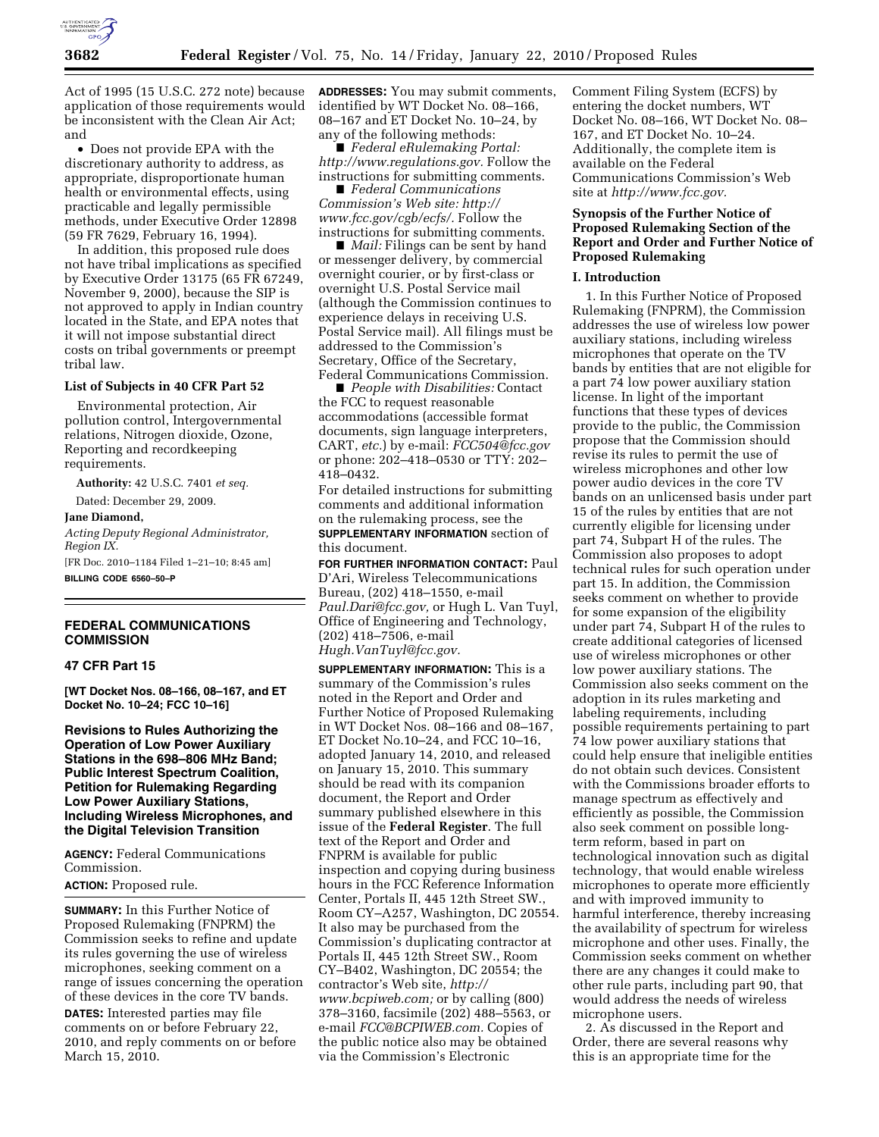

Act of 1995 (15 U.S.C. 272 note) because application of those requirements would be inconsistent with the Clean Air Act; and

• Does not provide EPA with the discretionary authority to address, as appropriate, disproportionate human health or environmental effects, using practicable and legally permissible methods, under Executive Order 12898 (59 FR 7629, February 16, 1994).

In addition, this proposed rule does not have tribal implications as specified by Executive Order 13175 (65 FR 67249, November 9, 2000), because the SIP is not approved to apply in Indian country located in the State, and EPA notes that it will not impose substantial direct costs on tribal governments or preempt tribal law.

# **List of Subjects in 40 CFR Part 52**

Environmental protection, Air pollution control, Intergovernmental relations, Nitrogen dioxide, Ozone, Reporting and recordkeeping requirements.

**Authority:** 42 U.S.C. 7401 *et seq.* 

Dated: December 29, 2009.

#### **Jane Diamond,**

*Acting Deputy Regional Administrator, Region IX.*  [FR Doc. 2010–1184 Filed 1–21–10; 8:45 am]

**BILLING CODE 6560–50–P** 

# **FEDERAL COMMUNICATIONS COMMISSION**

#### **47 CFR Part 15**

**[WT Docket Nos. 08–166, 08–167, and ET Docket No. 10–24; FCC 10–16]** 

**Revisions to Rules Authorizing the Operation of Low Power Auxiliary Stations in the 698–806 MHz Band; Public Interest Spectrum Coalition, Petition for Rulemaking Regarding Low Power Auxiliary Stations, Including Wireless Microphones, and the Digital Television Transition** 

**AGENCY:** Federal Communications Commission.

**ACTION:** Proposed rule.

**SUMMARY:** In this Further Notice of Proposed Rulemaking (FNPRM) the Commission seeks to refine and update its rules governing the use of wireless microphones, seeking comment on a range of issues concerning the operation of these devices in the core TV bands.

**DATES:** Interested parties may file comments on or before February 22, 2010, and reply comments on or before March 15, 2010.

**ADDRESSES:** You may submit comments, identified by WT Docket No. 08–166, 08–167 and ET Docket No. 10–24, by any of the following methods:

■ *Federal eRulemaking Portal: http://www.regulations.gov.* Follow the instructions for submitting comments.

■ *Federal Communications Commission's Web site: http:// www.fcc.gov/cgb/ecfs/.* Follow the instructions for submitting comments.

■ *Mail:* Filings can be sent by hand or messenger delivery, by commercial overnight courier, or by first-class or overnight U.S. Postal Service mail (although the Commission continues to experience delays in receiving U.S. Postal Service mail). All filings must be addressed to the Commission's Secretary, Office of the Secretary, Federal Communications Commission.

■ *People with Disabilities:* Contact the FCC to request reasonable accommodations (accessible format documents, sign language interpreters, CART, *etc.*) by e-mail: *FCC504@fcc.gov*  or phone: 202–418–0530 or TTY: 202– 418–0432.

For detailed instructions for submitting comments and additional information on the rulemaking process, see the **SUPPLEMENTARY INFORMATION** section of this document.

**FOR FURTHER INFORMATION CONTACT:** Paul D'Ari, Wireless Telecommunications Bureau, (202) 418–1550, e-mail *Paul.Dari@fcc.gov,* or Hugh L. Van Tuyl, Office of Engineering and Technology, (202) 418–7506, e-mail *Hugh.VanTuyl@fcc.gov.* 

**SUPPLEMENTARY INFORMATION:** This is a summary of the Commission's rules noted in the Report and Order and Further Notice of Proposed Rulemaking in WT Docket Nos. 08–166 and 08–167, ET Docket No.10–24, and FCC 10–16, adopted January 14, 2010, and released on January 15, 2010. This summary should be read with its companion document, the Report and Order summary published elsewhere in this issue of the **Federal Register**. The full text of the Report and Order and FNPRM is available for public inspection and copying during business hours in the FCC Reference Information Center, Portals II, 445 12th Street SW., Room CY–A257, Washington, DC 20554. It also may be purchased from the Commission's duplicating contractor at Portals II, 445 12th Street SW., Room CY–B402, Washington, DC 20554; the contractor's Web site, *http:// www.bcpiweb.com;* or by calling (800) 378–3160, facsimile (202) 488–5563, or e-mail *FCC@BCPIWEB.com.* Copies of the public notice also may be obtained via the Commission's Electronic

Comment Filing System (ECFS) by entering the docket numbers, WT Docket No. 08–166, WT Docket No. 08– 167, and ET Docket No. 10–24. Additionally, the complete item is available on the Federal Communications Commission's Web site at *http://www.fcc.gov.* 

# **Synopsis of the Further Notice of Proposed Rulemaking Section of the Report and Order and Further Notice of Proposed Rulemaking**

## **I. Introduction**

1. In this Further Notice of Proposed Rulemaking (FNPRM), the Commission addresses the use of wireless low power auxiliary stations, including wireless microphones that operate on the TV bands by entities that are not eligible for a part 74 low power auxiliary station license. In light of the important functions that these types of devices provide to the public, the Commission propose that the Commission should revise its rules to permit the use of wireless microphones and other low power audio devices in the core TV bands on an unlicensed basis under part 15 of the rules by entities that are not currently eligible for licensing under part 74, Subpart H of the rules. The Commission also proposes to adopt technical rules for such operation under part 15. In addition, the Commission seeks comment on whether to provide for some expansion of the eligibility under part 74, Subpart H of the rules to create additional categories of licensed use of wireless microphones or other low power auxiliary stations. The Commission also seeks comment on the adoption in its rules marketing and labeling requirements, including possible requirements pertaining to part 74 low power auxiliary stations that could help ensure that ineligible entities do not obtain such devices. Consistent with the Commissions broader efforts to manage spectrum as effectively and efficiently as possible, the Commission also seek comment on possible longterm reform, based in part on technological innovation such as digital technology, that would enable wireless microphones to operate more efficiently and with improved immunity to harmful interference, thereby increasing the availability of spectrum for wireless microphone and other uses. Finally, the Commission seeks comment on whether there are any changes it could make to other rule parts, including part 90, that would address the needs of wireless microphone users.

2. As discussed in the Report and Order, there are several reasons why this is an appropriate time for the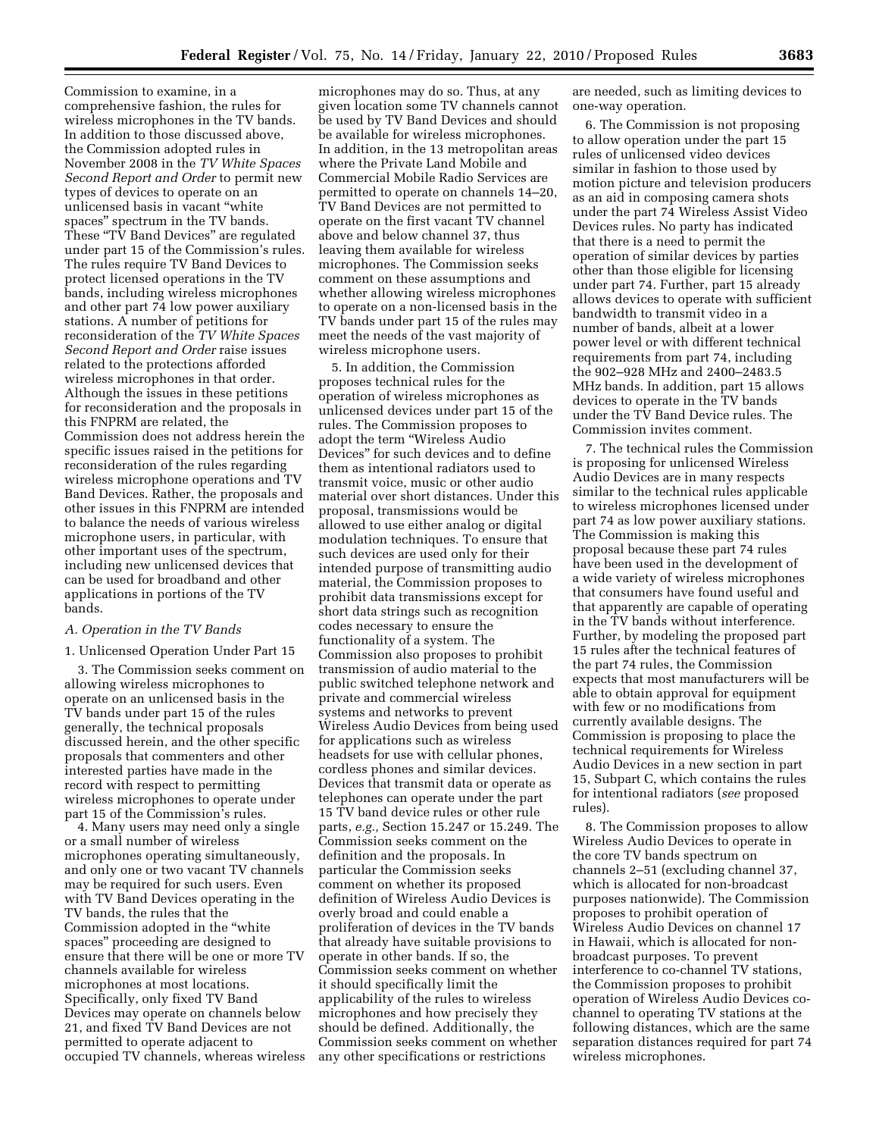Commission to examine, in a comprehensive fashion, the rules for wireless microphones in the TV bands. In addition to those discussed above, the Commission adopted rules in November 2008 in the *TV White Spaces Second Report and Order* to permit new types of devices to operate on an unlicensed basis in vacant ''white spaces'' spectrum in the TV bands. These "TV Band Devices" are regulated under part 15 of the Commission's rules. The rules require TV Band Devices to protect licensed operations in the TV bands, including wireless microphones and other part 74 low power auxiliary stations. A number of petitions for reconsideration of the *TV White Spaces Second Report and Order* raise issues related to the protections afforded wireless microphones in that order. Although the issues in these petitions for reconsideration and the proposals in this FNPRM are related, the Commission does not address herein the specific issues raised in the petitions for reconsideration of the rules regarding wireless microphone operations and TV Band Devices. Rather, the proposals and other issues in this FNPRM are intended to balance the needs of various wireless microphone users, in particular, with other important uses of the spectrum, including new unlicensed devices that can be used for broadband and other applications in portions of the TV bands.

# *A. Operation in the TV Bands*

### 1. Unlicensed Operation Under Part 15

3. The Commission seeks comment on allowing wireless microphones to operate on an unlicensed basis in the TV bands under part 15 of the rules generally, the technical proposals discussed herein, and the other specific proposals that commenters and other interested parties have made in the record with respect to permitting wireless microphones to operate under part 15 of the Commission's rules.

4. Many users may need only a single or a small number of wireless microphones operating simultaneously, and only one or two vacant TV channels may be required for such users. Even with TV Band Devices operating in the TV bands, the rules that the Commission adopted in the ''white spaces'' proceeding are designed to ensure that there will be one or more TV channels available for wireless microphones at most locations. Specifically, only fixed TV Band Devices may operate on channels below 21, and fixed TV Band Devices are not permitted to operate adjacent to occupied TV channels, whereas wireless

microphones may do so. Thus, at any given location some TV channels cannot be used by TV Band Devices and should be available for wireless microphones. In addition, in the 13 metropolitan areas where the Private Land Mobile and Commercial Mobile Radio Services are permitted to operate on channels 14–20, TV Band Devices are not permitted to operate on the first vacant TV channel above and below channel 37, thus leaving them available for wireless microphones. The Commission seeks comment on these assumptions and whether allowing wireless microphones to operate on a non-licensed basis in the TV bands under part 15 of the rules may meet the needs of the vast majority of wireless microphone users.

5. In addition, the Commission proposes technical rules for the operation of wireless microphones as unlicensed devices under part 15 of the rules. The Commission proposes to adopt the term ''Wireless Audio Devices'' for such devices and to define them as intentional radiators used to transmit voice, music or other audio material over short distances. Under this proposal, transmissions would be allowed to use either analog or digital modulation techniques. To ensure that such devices are used only for their intended purpose of transmitting audio material, the Commission proposes to prohibit data transmissions except for short data strings such as recognition codes necessary to ensure the functionality of a system. The Commission also proposes to prohibit transmission of audio material to the public switched telephone network and private and commercial wireless systems and networks to prevent Wireless Audio Devices from being used for applications such as wireless headsets for use with cellular phones, cordless phones and similar devices. Devices that transmit data or operate as telephones can operate under the part 15 TV band device rules or other rule parts, *e.g.,* Section 15.247 or 15.249. The Commission seeks comment on the definition and the proposals. In particular the Commission seeks comment on whether its proposed definition of Wireless Audio Devices is overly broad and could enable a proliferation of devices in the TV bands that already have suitable provisions to operate in other bands. If so, the Commission seeks comment on whether it should specifically limit the applicability of the rules to wireless microphones and how precisely they should be defined. Additionally, the Commission seeks comment on whether any other specifications or restrictions

are needed, such as limiting devices to one-way operation.

6. The Commission is not proposing to allow operation under the part 15 rules of unlicensed video devices similar in fashion to those used by motion picture and television producers as an aid in composing camera shots under the part 74 Wireless Assist Video Devices rules. No party has indicated that there is a need to permit the operation of similar devices by parties other than those eligible for licensing under part 74. Further, part 15 already allows devices to operate with sufficient bandwidth to transmit video in a number of bands, albeit at a lower power level or with different technical requirements from part 74, including the 902–928 MHz and 2400–2483.5 MHz bands. In addition, part 15 allows devices to operate in the TV bands under the TV Band Device rules. The Commission invites comment.

7. The technical rules the Commission is proposing for unlicensed Wireless Audio Devices are in many respects similar to the technical rules applicable to wireless microphones licensed under part 74 as low power auxiliary stations. The Commission is making this proposal because these part 74 rules have been used in the development of a wide variety of wireless microphones that consumers have found useful and that apparently are capable of operating in the TV bands without interference. Further, by modeling the proposed part 15 rules after the technical features of the part 74 rules, the Commission expects that most manufacturers will be able to obtain approval for equipment with few or no modifications from currently available designs. The Commission is proposing to place the technical requirements for Wireless Audio Devices in a new section in part 15, Subpart C, which contains the rules for intentional radiators (*see* proposed rules).

8. The Commission proposes to allow Wireless Audio Devices to operate in the core TV bands spectrum on channels 2–51 (excluding channel 37, which is allocated for non-broadcast purposes nationwide). The Commission proposes to prohibit operation of Wireless Audio Devices on channel 17 in Hawaii, which is allocated for nonbroadcast purposes. To prevent interference to co-channel TV stations, the Commission proposes to prohibit operation of Wireless Audio Devices cochannel to operating TV stations at the following distances, which are the same separation distances required for part 74 wireless microphones.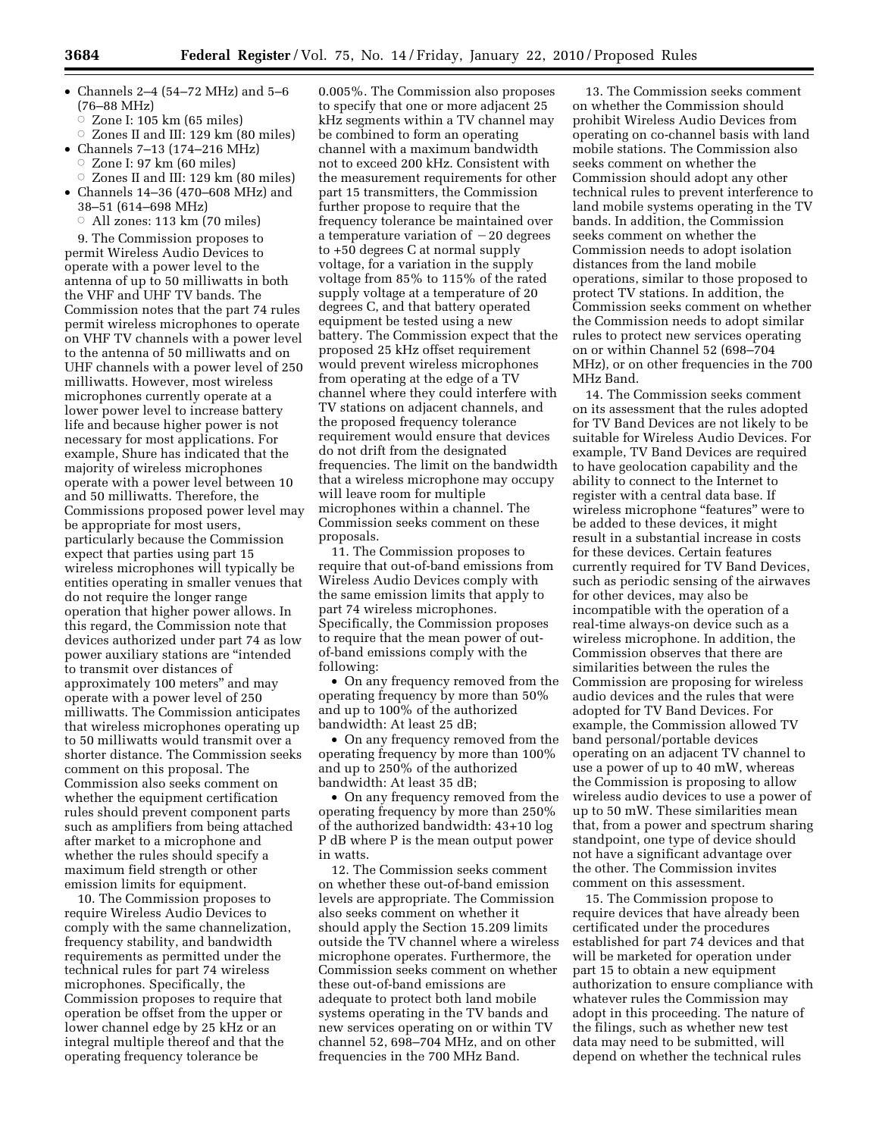- Channels 2–4 (54–72 MHz) and 5–6 (76–88 MHz)
	- $\dot{\circ}$ Zone I: 105 km (65 miles)
- $\circ$  Zones II and III: 129 km (80 miles)
- Channels 7–13 (174–216 MHz)
	- $\circ$  Zone I: 97 km (60 miles)
- $\circ$  Zones II and III: 129 km (80 miles) • Channels 14–36 (470–608 MHz) and 38–51 (614–698 MHz)
	- $\circ$  All zones: 113 km (70 miles)
	- 9. The Commission proposes to

permit Wireless Audio Devices to operate with a power level to the antenna of up to 50 milliwatts in both the VHF and UHF TV bands. The Commission notes that the part 74 rules permit wireless microphones to operate on VHF TV channels with a power level to the antenna of 50 milliwatts and on UHF channels with a power level of 250 milliwatts. However, most wireless microphones currently operate at a lower power level to increase battery life and because higher power is not necessary for most applications. For example, Shure has indicated that the majority of wireless microphones operate with a power level between 10 and 50 milliwatts. Therefore, the Commissions proposed power level may be appropriate for most users, particularly because the Commission expect that parties using part 15 wireless microphones will typically be entities operating in smaller venues that do not require the longer range operation that higher power allows. In this regard, the Commission note that devices authorized under part 74 as low power auxiliary stations are ''intended to transmit over distances of approximately 100 meters'' and may operate with a power level of 250 milliwatts. The Commission anticipates that wireless microphones operating up to 50 milliwatts would transmit over a shorter distance. The Commission seeks comment on this proposal. The Commission also seeks comment on whether the equipment certification rules should prevent component parts such as amplifiers from being attached after market to a microphone and whether the rules should specify a maximum field strength or other emission limits for equipment.

10. The Commission proposes to require Wireless Audio Devices to comply with the same channelization, frequency stability, and bandwidth requirements as permitted under the technical rules for part 74 wireless microphones. Specifically, the Commission proposes to require that operation be offset from the upper or lower channel edge by 25 kHz or an integral multiple thereof and that the operating frequency tolerance be

0.005%. The Commission also proposes to specify that one or more adjacent 25 kHz segments within a TV channel may be combined to form an operating channel with a maximum bandwidth not to exceed 200 kHz. Consistent with the measurement requirements for other part 15 transmitters, the Commission further propose to require that the frequency tolerance be maintained over a temperature variation of  $-20$  degrees to +50 degrees C at normal supply voltage, for a variation in the supply voltage from 85% to 115% of the rated supply voltage at a temperature of 20 degrees C, and that battery operated equipment be tested using a new battery. The Commission expect that the proposed 25 kHz offset requirement would prevent wireless microphones from operating at the edge of a TV channel where they could interfere with TV stations on adjacent channels, and the proposed frequency tolerance requirement would ensure that devices do not drift from the designated frequencies. The limit on the bandwidth that a wireless microphone may occupy will leave room for multiple microphones within a channel. The Commission seeks comment on these proposals.

11. The Commission proposes to require that out-of-band emissions from Wireless Audio Devices comply with the same emission limits that apply to part 74 wireless microphones. Specifically, the Commission proposes to require that the mean power of outof-band emissions comply with the following:

• On any frequency removed from the operating frequency by more than 50% and up to 100% of the authorized bandwidth: At least 25 dB;

• On any frequency removed from the operating frequency by more than 100% and up to 250% of the authorized bandwidth: At least 35 dB;

• On any frequency removed from the operating frequency by more than 250% of the authorized bandwidth: 43+10 log P dB where P is the mean output power in watts.

12. The Commission seeks comment on whether these out-of-band emission levels are appropriate. The Commission also seeks comment on whether it should apply the Section 15.209 limits outside the TV channel where a wireless microphone operates. Furthermore, the Commission seeks comment on whether these out-of-band emissions are adequate to protect both land mobile systems operating in the TV bands and new services operating on or within TV channel 52, 698–704 MHz, and on other frequencies in the 700 MHz Band.

13. The Commission seeks comment on whether the Commission should prohibit Wireless Audio Devices from operating on co-channel basis with land mobile stations. The Commission also seeks comment on whether the Commission should adopt any other technical rules to prevent interference to land mobile systems operating in the TV bands. In addition, the Commission seeks comment on whether the Commission needs to adopt isolation distances from the land mobile operations, similar to those proposed to protect TV stations. In addition, the Commission seeks comment on whether the Commission needs to adopt similar rules to protect new services operating on or within Channel 52 (698–704 MHz), or on other frequencies in the 700 MHz Band.

14. The Commission seeks comment on its assessment that the rules adopted for TV Band Devices are not likely to be suitable for Wireless Audio Devices. For example, TV Band Devices are required to have geolocation capability and the ability to connect to the Internet to register with a central data base. If wireless microphone "features" were to be added to these devices, it might result in a substantial increase in costs for these devices. Certain features currently required for TV Band Devices, such as periodic sensing of the airwaves for other devices, may also be incompatible with the operation of a real-time always-on device such as a wireless microphone. In addition, the Commission observes that there are similarities between the rules the Commission are proposing for wireless audio devices and the rules that were adopted for TV Band Devices. For example, the Commission allowed TV band personal/portable devices operating on an adjacent TV channel to use a power of up to 40 mW, whereas the Commission is proposing to allow wireless audio devices to use a power of up to 50 mW. These similarities mean that, from a power and spectrum sharing standpoint, one type of device should not have a significant advantage over the other. The Commission invites comment on this assessment.

15. The Commission propose to require devices that have already been certificated under the procedures established for part 74 devices and that will be marketed for operation under part 15 to obtain a new equipment authorization to ensure compliance with whatever rules the Commission may adopt in this proceeding. The nature of the filings, such as whether new test data may need to be submitted, will depend on whether the technical rules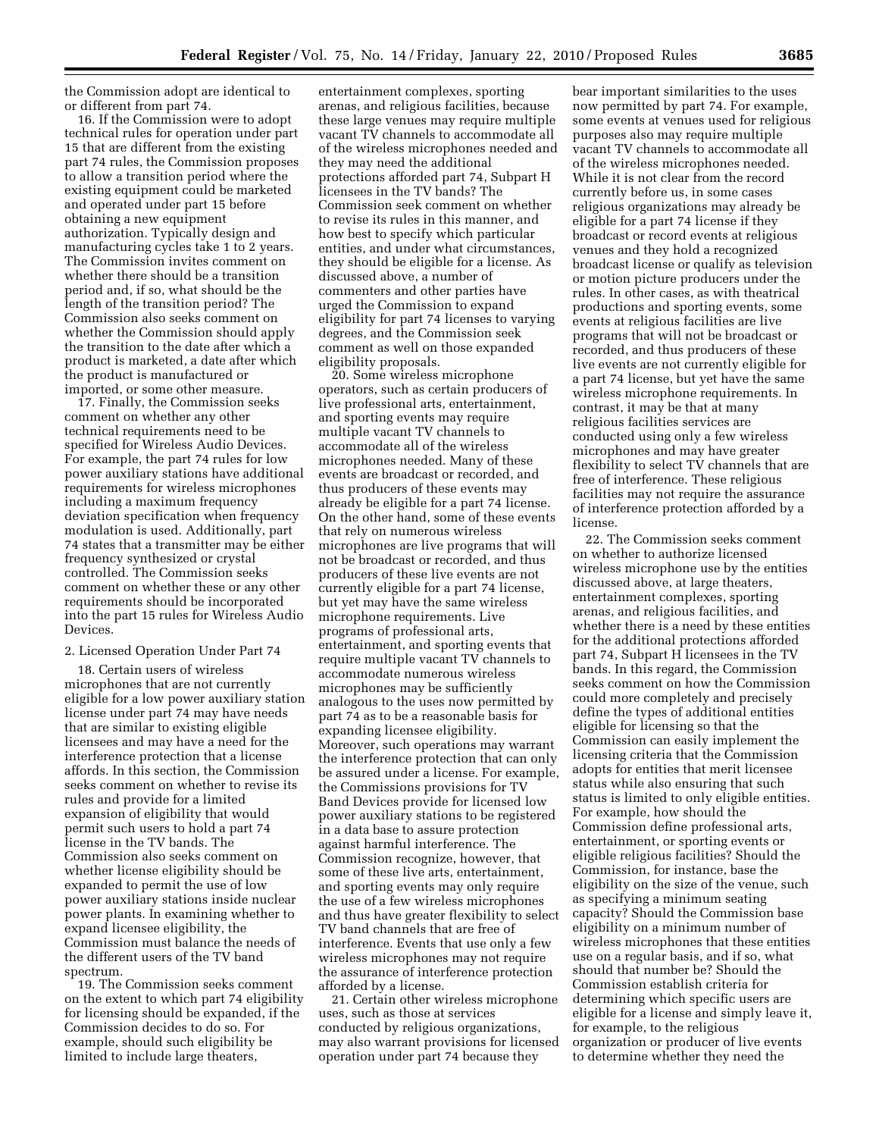the Commission adopt are identical to or different from part 74.

16. If the Commission were to adopt technical rules for operation under part 15 that are different from the existing part 74 rules, the Commission proposes to allow a transition period where the existing equipment could be marketed and operated under part 15 before obtaining a new equipment authorization. Typically design and manufacturing cycles take 1 to 2 years. The Commission invites comment on whether there should be a transition period and, if so, what should be the length of the transition period? The Commission also seeks comment on whether the Commission should apply the transition to the date after which a product is marketed, a date after which the product is manufactured or imported, or some other measure.

17. Finally, the Commission seeks comment on whether any other technical requirements need to be specified for Wireless Audio Devices. For example, the part 74 rules for low power auxiliary stations have additional requirements for wireless microphones including a maximum frequency deviation specification when frequency modulation is used. Additionally, part 74 states that a transmitter may be either frequency synthesized or crystal controlled. The Commission seeks comment on whether these or any other requirements should be incorporated into the part 15 rules for Wireless Audio Devices.

# 2. Licensed Operation Under Part 74

18. Certain users of wireless microphones that are not currently eligible for a low power auxiliary station license under part 74 may have needs that are similar to existing eligible licensees and may have a need for the interference protection that a license affords. In this section, the Commission seeks comment on whether to revise its rules and provide for a limited expansion of eligibility that would permit such users to hold a part 74 license in the TV bands. The Commission also seeks comment on whether license eligibility should be expanded to permit the use of low power auxiliary stations inside nuclear power plants. In examining whether to expand licensee eligibility, the Commission must balance the needs of the different users of the TV band spectrum.

19. The Commission seeks comment on the extent to which part 74 eligibility for licensing should be expanded, if the Commission decides to do so. For example, should such eligibility be limited to include large theaters,

entertainment complexes, sporting arenas, and religious facilities, because these large venues may require multiple vacant TV channels to accommodate all of the wireless microphones needed and they may need the additional protections afforded part 74, Subpart H licensees in the TV bands? The Commission seek comment on whether to revise its rules in this manner, and how best to specify which particular entities, and under what circumstances, they should be eligible for a license. As discussed above, a number of commenters and other parties have urged the Commission to expand eligibility for part 74 licenses to varying degrees, and the Commission seek comment as well on those expanded eligibility proposals.

20. Some wireless microphone operators, such as certain producers of live professional arts, entertainment, and sporting events may require multiple vacant TV channels to accommodate all of the wireless microphones needed. Many of these events are broadcast or recorded, and thus producers of these events may already be eligible for a part 74 license. On the other hand, some of these events that rely on numerous wireless microphones are live programs that will not be broadcast or recorded, and thus producers of these live events are not currently eligible for a part 74 license, but yet may have the same wireless microphone requirements. Live programs of professional arts, entertainment, and sporting events that require multiple vacant TV channels to accommodate numerous wireless microphones may be sufficiently analogous to the uses now permitted by part 74 as to be a reasonable basis for expanding licensee eligibility. Moreover, such operations may warrant the interference protection that can only be assured under a license. For example, the Commissions provisions for TV Band Devices provide for licensed low power auxiliary stations to be registered in a data base to assure protection against harmful interference. The Commission recognize, however, that some of these live arts, entertainment, and sporting events may only require the use of a few wireless microphones and thus have greater flexibility to select TV band channels that are free of interference. Events that use only a few wireless microphones may not require the assurance of interference protection afforded by a license.

21. Certain other wireless microphone uses, such as those at services conducted by religious organizations, may also warrant provisions for licensed operation under part 74 because they

bear important similarities to the uses now permitted by part 74. For example, some events at venues used for religious purposes also may require multiple vacant TV channels to accommodate all of the wireless microphones needed. While it is not clear from the record currently before us, in some cases religious organizations may already be eligible for a part 74 license if they broadcast or record events at religious venues and they hold a recognized broadcast license or qualify as television or motion picture producers under the rules. In other cases, as with theatrical productions and sporting events, some events at religious facilities are live programs that will not be broadcast or recorded, and thus producers of these live events are not currently eligible for a part 74 license, but yet have the same wireless microphone requirements. In contrast, it may be that at many religious facilities services are conducted using only a few wireless microphones and may have greater flexibility to select TV channels that are free of interference. These religious facilities may not require the assurance of interference protection afforded by a license.

22. The Commission seeks comment on whether to authorize licensed wireless microphone use by the entities discussed above, at large theaters, entertainment complexes, sporting arenas, and religious facilities, and whether there is a need by these entities for the additional protections afforded part 74, Subpart H licensees in the TV bands. In this regard, the Commission seeks comment on how the Commission could more completely and precisely define the types of additional entities eligible for licensing so that the Commission can easily implement the licensing criteria that the Commission adopts for entities that merit licensee status while also ensuring that such status is limited to only eligible entities. For example, how should the Commission define professional arts, entertainment, or sporting events or eligible religious facilities? Should the Commission, for instance, base the eligibility on the size of the venue, such as specifying a minimum seating capacity? Should the Commission base eligibility on a minimum number of wireless microphones that these entities use on a regular basis, and if so, what should that number be? Should the Commission establish criteria for determining which specific users are eligible for a license and simply leave it, for example, to the religious organization or producer of live events to determine whether they need the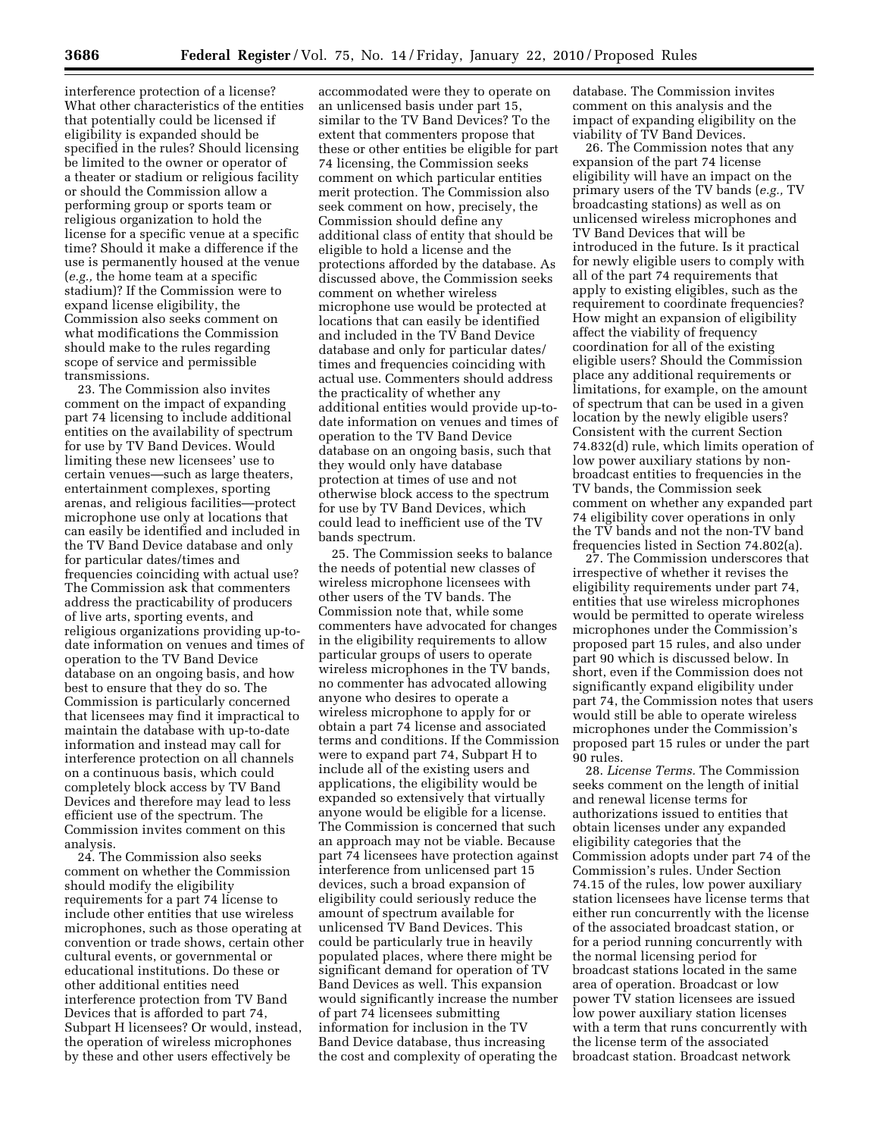interference protection of a license? What other characteristics of the entities that potentially could be licensed if eligibility is expanded should be specified in the rules? Should licensing be limited to the owner or operator of a theater or stadium or religious facility or should the Commission allow a performing group or sports team or religious organization to hold the license for a specific venue at a specific time? Should it make a difference if the use is permanently housed at the venue (*e.g.,* the home team at a specific stadium)? If the Commission were to expand license eligibility, the Commission also seeks comment on what modifications the Commission should make to the rules regarding scope of service and permissible transmissions.

23. The Commission also invites comment on the impact of expanding part 74 licensing to include additional entities on the availability of spectrum for use by TV Band Devices. Would limiting these new licensees' use to certain venues—such as large theaters, entertainment complexes, sporting arenas, and religious facilities—protect microphone use only at locations that can easily be identified and included in the TV Band Device database and only for particular dates/times and frequencies coinciding with actual use? The Commission ask that commenters address the practicability of producers of live arts, sporting events, and religious organizations providing up-todate information on venues and times of operation to the TV Band Device database on an ongoing basis, and how best to ensure that they do so. The Commission is particularly concerned that licensees may find it impractical to maintain the database with up-to-date information and instead may call for interference protection on all channels on a continuous basis, which could completely block access by TV Band Devices and therefore may lead to less efficient use of the spectrum. The Commission invites comment on this analysis.

24. The Commission also seeks comment on whether the Commission should modify the eligibility requirements for a part 74 license to include other entities that use wireless microphones, such as those operating at convention or trade shows, certain other cultural events, or governmental or educational institutions. Do these or other additional entities need interference protection from TV Band Devices that is afforded to part 74, Subpart H licensees? Or would, instead, the operation of wireless microphones by these and other users effectively be

accommodated were they to operate on an unlicensed basis under part 15, similar to the TV Band Devices? To the extent that commenters propose that these or other entities be eligible for part 74 licensing, the Commission seeks comment on which particular entities merit protection. The Commission also seek comment on how, precisely, the Commission should define any additional class of entity that should be eligible to hold a license and the protections afforded by the database. As discussed above, the Commission seeks comment on whether wireless microphone use would be protected at locations that can easily be identified and included in the TV Band Device database and only for particular dates/ times and frequencies coinciding with actual use. Commenters should address the practicality of whether any additional entities would provide up-todate information on venues and times of operation to the TV Band Device database on an ongoing basis, such that they would only have database protection at times of use and not otherwise block access to the spectrum for use by TV Band Devices, which could lead to inefficient use of the TV bands spectrum.

25. The Commission seeks to balance the needs of potential new classes of wireless microphone licensees with other users of the TV bands. The Commission note that, while some commenters have advocated for changes in the eligibility requirements to allow particular groups of users to operate wireless microphones in the TV bands, no commenter has advocated allowing anyone who desires to operate a wireless microphone to apply for or obtain a part 74 license and associated terms and conditions. If the Commission were to expand part 74, Subpart H to include all of the existing users and applications, the eligibility would be expanded so extensively that virtually anyone would be eligible for a license. The Commission is concerned that such an approach may not be viable. Because part 74 licensees have protection against interference from unlicensed part 15 devices, such a broad expansion of eligibility could seriously reduce the amount of spectrum available for unlicensed TV Band Devices. This could be particularly true in heavily populated places, where there might be significant demand for operation of TV Band Devices as well. This expansion would significantly increase the number of part 74 licensees submitting information for inclusion in the TV Band Device database, thus increasing the cost and complexity of operating the

database. The Commission invites comment on this analysis and the impact of expanding eligibility on the viability of TV Band Devices.

26. The Commission notes that any expansion of the part 74 license eligibility will have an impact on the primary users of the TV bands (*e.g.,* TV broadcasting stations) as well as on unlicensed wireless microphones and TV Band Devices that will be introduced in the future. Is it practical for newly eligible users to comply with all of the part 74 requirements that apply to existing eligibles, such as the requirement to coordinate frequencies? How might an expansion of eligibility affect the viability of frequency coordination for all of the existing eligible users? Should the Commission place any additional requirements or limitations, for example, on the amount of spectrum that can be used in a given location by the newly eligible users? Consistent with the current Section 74.832(d) rule, which limits operation of low power auxiliary stations by nonbroadcast entities to frequencies in the TV bands, the Commission seek comment on whether any expanded part 74 eligibility cover operations in only the TV bands and not the non-TV band frequencies listed in Section 74.802(a).

27. The Commission underscores that irrespective of whether it revises the eligibility requirements under part 74, entities that use wireless microphones would be permitted to operate wireless microphones under the Commission's proposed part 15 rules, and also under part 90 which is discussed below. In short, even if the Commission does not significantly expand eligibility under part 74, the Commission notes that users would still be able to operate wireless microphones under the Commission's proposed part 15 rules or under the part 90 rules.

28. *License Terms.* The Commission seeks comment on the length of initial and renewal license terms for authorizations issued to entities that obtain licenses under any expanded eligibility categories that the Commission adopts under part 74 of the Commission's rules. Under Section 74.15 of the rules, low power auxiliary station licensees have license terms that either run concurrently with the license of the associated broadcast station, or for a period running concurrently with the normal licensing period for broadcast stations located in the same area of operation. Broadcast or low power TV station licensees are issued low power auxiliary station licenses with a term that runs concurrently with the license term of the associated broadcast station. Broadcast network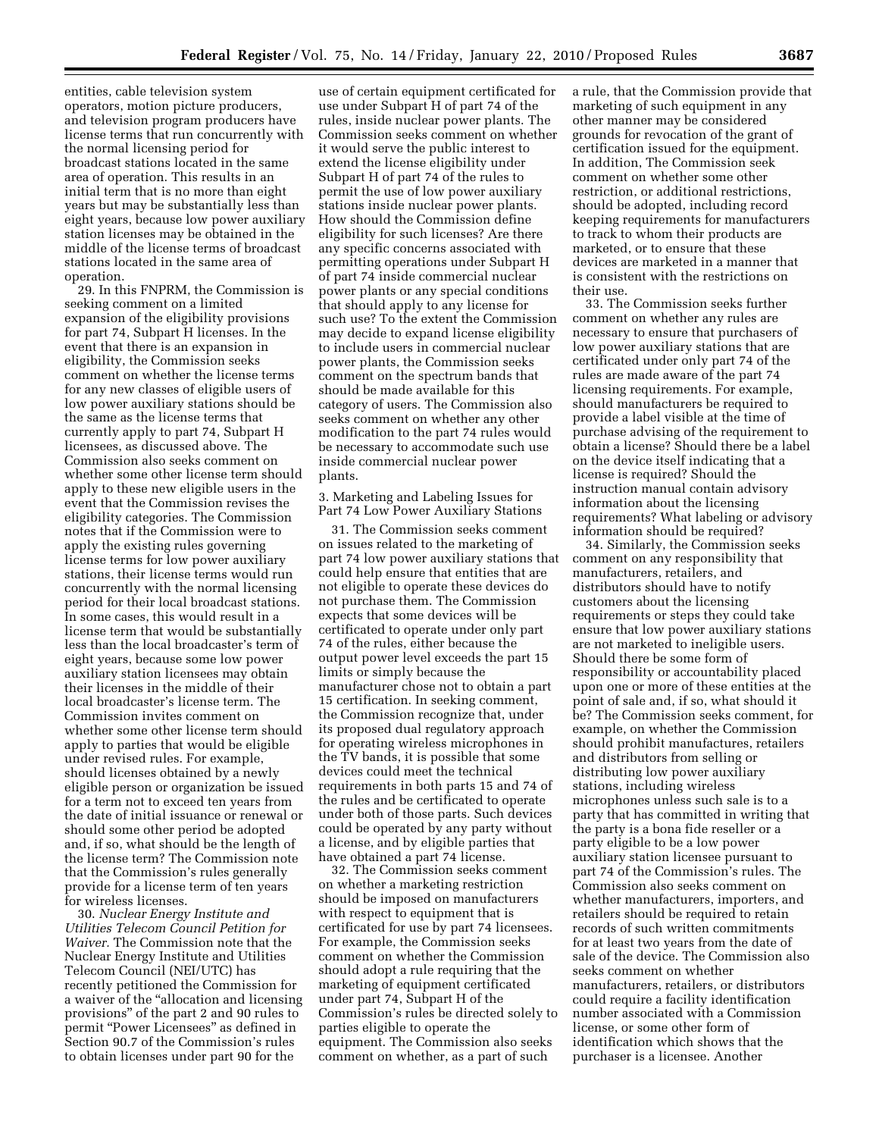entities, cable television system operators, motion picture producers, and television program producers have license terms that run concurrently with the normal licensing period for broadcast stations located in the same area of operation. This results in an initial term that is no more than eight years but may be substantially less than eight years, because low power auxiliary station licenses may be obtained in the middle of the license terms of broadcast stations located in the same area of operation.

29. In this FNPRM, the Commission is seeking comment on a limited expansion of the eligibility provisions for part 74, Subpart H licenses. In the event that there is an expansion in eligibility, the Commission seeks comment on whether the license terms for any new classes of eligible users of low power auxiliary stations should be the same as the license terms that currently apply to part 74, Subpart H licensees, as discussed above. The Commission also seeks comment on whether some other license term should apply to these new eligible users in the event that the Commission revises the eligibility categories. The Commission notes that if the Commission were to apply the existing rules governing license terms for low power auxiliary stations, their license terms would run concurrently with the normal licensing period for their local broadcast stations. In some cases, this would result in a license term that would be substantially less than the local broadcaster's term of eight years, because some low power auxiliary station licensees may obtain their licenses in the middle of their local broadcaster's license term. The Commission invites comment on whether some other license term should apply to parties that would be eligible under revised rules. For example, should licenses obtained by a newly eligible person or organization be issued for a term not to exceed ten years from the date of initial issuance or renewal or should some other period be adopted and, if so, what should be the length of the license term? The Commission note that the Commission's rules generally provide for a license term of ten years for wireless licenses.

30. *Nuclear Energy Institute and Utilities Telecom Council Petition for Waiver.* The Commission note that the Nuclear Energy Institute and Utilities Telecom Council (NEI/UTC) has recently petitioned the Commission for a waiver of the ''allocation and licensing provisions'' of the part 2 and 90 rules to permit ''Power Licensees'' as defined in Section 90.7 of the Commission's rules to obtain licenses under part 90 for the

use of certain equipment certificated for use under Subpart H of part 74 of the rules, inside nuclear power plants. The Commission seeks comment on whether it would serve the public interest to extend the license eligibility under Subpart H of part 74 of the rules to permit the use of low power auxiliary stations inside nuclear power plants. How should the Commission define eligibility for such licenses? Are there any specific concerns associated with permitting operations under Subpart H of part 74 inside commercial nuclear power plants or any special conditions that should apply to any license for such use? To the extent the Commission may decide to expand license eligibility to include users in commercial nuclear power plants, the Commission seeks comment on the spectrum bands that should be made available for this category of users. The Commission also seeks comment on whether any other modification to the part 74 rules would be necessary to accommodate such use inside commercial nuclear power plants.

3. Marketing and Labeling Issues for Part 74 Low Power Auxiliary Stations

31. The Commission seeks comment on issues related to the marketing of part 74 low power auxiliary stations that could help ensure that entities that are not eligible to operate these devices do not purchase them. The Commission expects that some devices will be certificated to operate under only part 74 of the rules, either because the output power level exceeds the part 15 limits or simply because the manufacturer chose not to obtain a part 15 certification. In seeking comment, the Commission recognize that, under its proposed dual regulatory approach for operating wireless microphones in the TV bands, it is possible that some devices could meet the technical requirements in both parts 15 and 74 of the rules and be certificated to operate under both of those parts. Such devices could be operated by any party without a license, and by eligible parties that have obtained a part 74 license.

32. The Commission seeks comment on whether a marketing restriction should be imposed on manufacturers with respect to equipment that is certificated for use by part 74 licensees. For example, the Commission seeks comment on whether the Commission should adopt a rule requiring that the marketing of equipment certificated under part 74, Subpart H of the Commission's rules be directed solely to parties eligible to operate the equipment. The Commission also seeks comment on whether, as a part of such

a rule, that the Commission provide that marketing of such equipment in any other manner may be considered grounds for revocation of the grant of certification issued for the equipment. In addition, The Commission seek comment on whether some other restriction, or additional restrictions, should be adopted, including record keeping requirements for manufacturers to track to whom their products are marketed, or to ensure that these devices are marketed in a manner that is consistent with the restrictions on their use.

33. The Commission seeks further comment on whether any rules are necessary to ensure that purchasers of low power auxiliary stations that are certificated under only part 74 of the rules are made aware of the part 74 licensing requirements. For example, should manufacturers be required to provide a label visible at the time of purchase advising of the requirement to obtain a license? Should there be a label on the device itself indicating that a license is required? Should the instruction manual contain advisory information about the licensing requirements? What labeling or advisory information should be required?

34. Similarly, the Commission seeks comment on any responsibility that manufacturers, retailers, and distributors should have to notify customers about the licensing requirements or steps they could take ensure that low power auxiliary stations are not marketed to ineligible users. Should there be some form of responsibility or accountability placed upon one or more of these entities at the point of sale and, if so, what should it be? The Commission seeks comment, for example, on whether the Commission should prohibit manufactures, retailers and distributors from selling or distributing low power auxiliary stations, including wireless microphones unless such sale is to a party that has committed in writing that the party is a bona fide reseller or a party eligible to be a low power auxiliary station licensee pursuant to part 74 of the Commission's rules. The Commission also seeks comment on whether manufacturers, importers, and retailers should be required to retain records of such written commitments for at least two years from the date of sale of the device. The Commission also seeks comment on whether manufacturers, retailers, or distributors could require a facility identification number associated with a Commission license, or some other form of identification which shows that the purchaser is a licensee. Another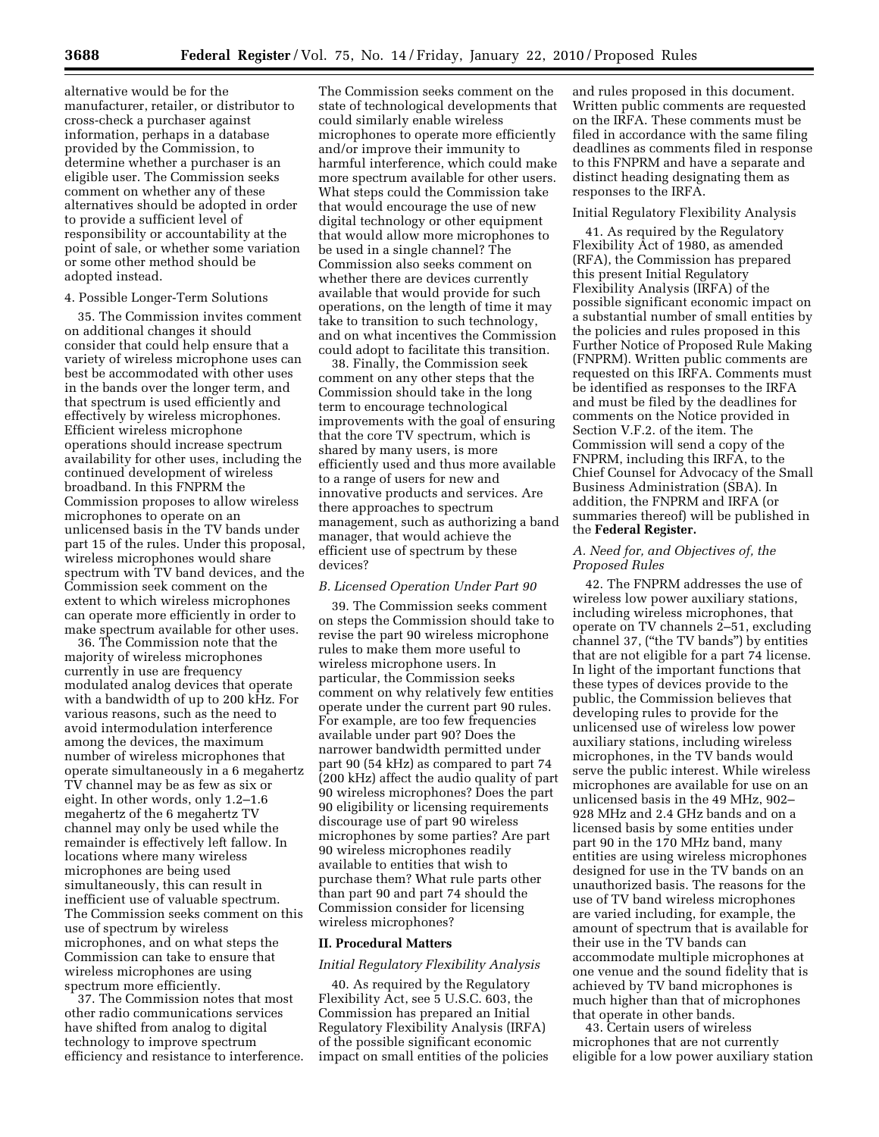alternative would be for the manufacturer, retailer, or distributor to cross-check a purchaser against information, perhaps in a database provided by the Commission, to determine whether a purchaser is an eligible user. The Commission seeks comment on whether any of these alternatives should be adopted in order to provide a sufficient level of responsibility or accountability at the point of sale, or whether some variation or some other method should be adopted instead.

### 4. Possible Longer-Term Solutions

35. The Commission invites comment on additional changes it should consider that could help ensure that a variety of wireless microphone uses can best be accommodated with other uses in the bands over the longer term, and that spectrum is used efficiently and effectively by wireless microphones. Efficient wireless microphone operations should increase spectrum availability for other uses, including the continued development of wireless broadband. In this FNPRM the Commission proposes to allow wireless microphones to operate on an unlicensed basis in the TV bands under part 15 of the rules. Under this proposal, wireless microphones would share spectrum with TV band devices, and the Commission seek comment on the extent to which wireless microphones can operate more efficiently in order to make spectrum available for other uses.

36. The Commission note that the majority of wireless microphones currently in use are frequency modulated analog devices that operate with a bandwidth of up to 200 kHz. For various reasons, such as the need to avoid intermodulation interference among the devices, the maximum number of wireless microphones that operate simultaneously in a 6 megahertz TV channel may be as few as six or eight. In other words, only 1.2–1.6 megahertz of the 6 megahertz TV channel may only be used while the remainder is effectively left fallow. In locations where many wireless microphones are being used simultaneously, this can result in inefficient use of valuable spectrum. The Commission seeks comment on this use of spectrum by wireless microphones, and on what steps the Commission can take to ensure that wireless microphones are using spectrum more efficiently.

37. The Commission notes that most other radio communications services have shifted from analog to digital technology to improve spectrum efficiency and resistance to interference.

The Commission seeks comment on the state of technological developments that could similarly enable wireless microphones to operate more efficiently and/or improve their immunity to harmful interference, which could make more spectrum available for other users. What steps could the Commission take that would encourage the use of new digital technology or other equipment that would allow more microphones to be used in a single channel? The Commission also seeks comment on whether there are devices currently available that would provide for such operations, on the length of time it may take to transition to such technology, and on what incentives the Commission could adopt to facilitate this transition.

38. Finally, the Commission seek comment on any other steps that the Commission should take in the long term to encourage technological improvements with the goal of ensuring that the core TV spectrum, which is shared by many users, is more efficiently used and thus more available to a range of users for new and innovative products and services. Are there approaches to spectrum management, such as authorizing a band manager, that would achieve the efficient use of spectrum by these devices?

### *B. Licensed Operation Under Part 90*

39. The Commission seeks comment on steps the Commission should take to revise the part 90 wireless microphone rules to make them more useful to wireless microphone users. In particular, the Commission seeks comment on why relatively few entities operate under the current part 90 rules. For example, are too few frequencies available under part 90? Does the narrower bandwidth permitted under part 90 (54 kHz) as compared to part 74 (200 kHz) affect the audio quality of part 90 wireless microphones? Does the part 90 eligibility or licensing requirements discourage use of part 90 wireless microphones by some parties? Are part 90 wireless microphones readily available to entities that wish to purchase them? What rule parts other than part 90 and part 74 should the Commission consider for licensing wireless microphones?

# **II. Procedural Matters**

## *Initial Regulatory Flexibility Analysis*

40. As required by the Regulatory Flexibility Act, see 5 U.S.C. 603, the Commission has prepared an Initial Regulatory Flexibility Analysis (IRFA) of the possible significant economic impact on small entities of the policies and rules proposed in this document. Written public comments are requested on the IRFA. These comments must be filed in accordance with the same filing deadlines as comments filed in response to this FNPRM and have a separate and distinct heading designating them as responses to the IRFA.

## Initial Regulatory Flexibility Analysis

41. As required by the Regulatory Flexibility Act of 1980, as amended (RFA), the Commission has prepared this present Initial Regulatory Flexibility Analysis (IRFA) of the possible significant economic impact on a substantial number of small entities by the policies and rules proposed in this Further Notice of Proposed Rule Making (FNPRM). Written public comments are requested on this IRFA. Comments must be identified as responses to the IRFA and must be filed by the deadlines for comments on the Notice provided in Section V.F.2. of the item. The Commission will send a copy of the FNPRM, including this IRFA, to the Chief Counsel for Advocacy of the Small Business Administration (SBA). In addition, the FNPRM and IRFA (or summaries thereof) will be published in the **Federal Register.** 

# *A. Need for, and Objectives of, the Proposed Rules*

42. The FNPRM addresses the use of wireless low power auxiliary stations, including wireless microphones, that operate on TV channels 2–51, excluding channel 37, (''the TV bands'') by entities that are not eligible for a part 74 license. In light of the important functions that these types of devices provide to the public, the Commission believes that developing rules to provide for the unlicensed use of wireless low power auxiliary stations, including wireless microphones, in the TV bands would serve the public interest. While wireless microphones are available for use on an unlicensed basis in the 49 MHz, 902– 928 MHz and 2.4 GHz bands and on a licensed basis by some entities under part 90 in the 170 MHz band, many entities are using wireless microphones designed for use in the TV bands on an unauthorized basis. The reasons for the use of TV band wireless microphones are varied including, for example, the amount of spectrum that is available for their use in the TV bands can accommodate multiple microphones at one venue and the sound fidelity that is achieved by TV band microphones is much higher than that of microphones that operate in other bands.

43. Certain users of wireless microphones that are not currently eligible for a low power auxiliary station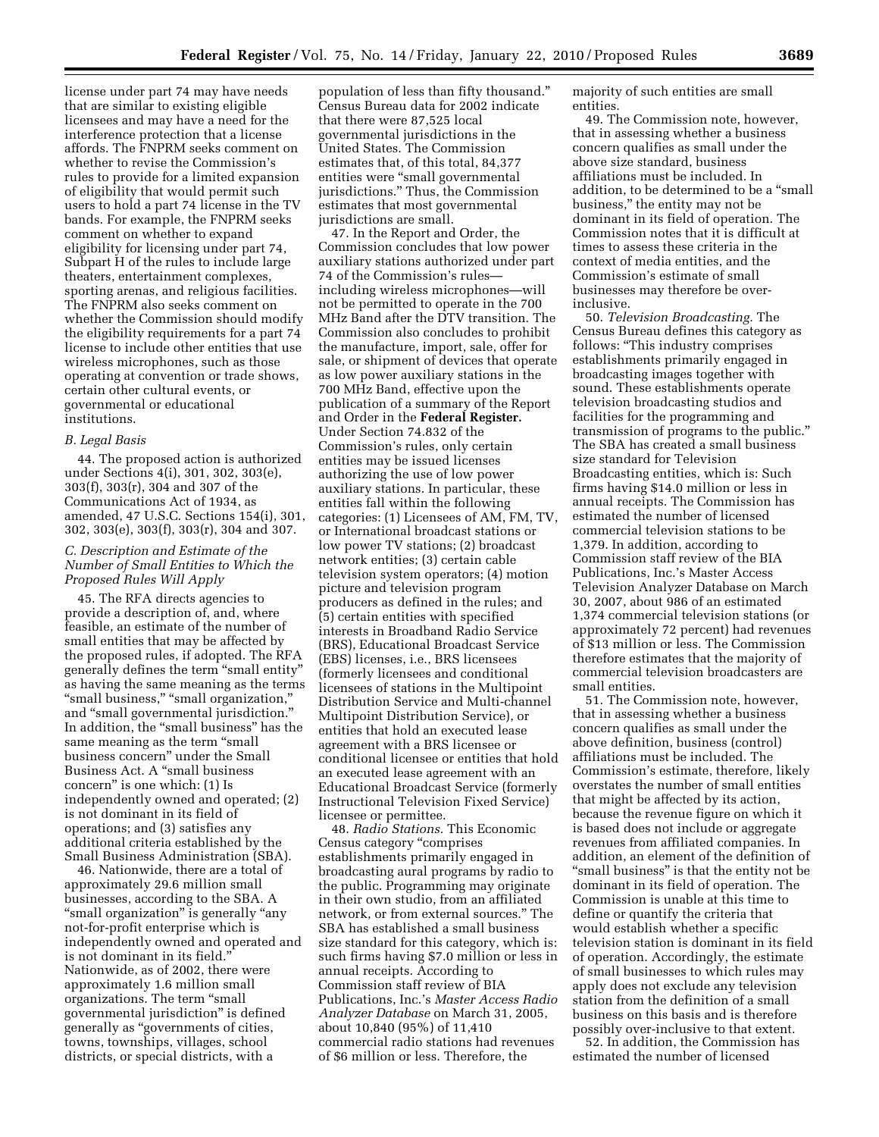license under part 74 may have needs that are similar to existing eligible licensees and may have a need for the interference protection that a license affords. The FNPRM seeks comment on whether to revise the Commission's rules to provide for a limited expansion of eligibility that would permit such users to hold a part 74 license in the TV bands. For example, the FNPRM seeks comment on whether to expand eligibility for licensing under part 74, Subpart H of the rules to include large theaters, entertainment complexes, sporting arenas, and religious facilities. The FNPRM also seeks comment on whether the Commission should modify the eligibility requirements for a part 74 license to include other entities that use wireless microphones, such as those operating at convention or trade shows, certain other cultural events, or governmental or educational institutions.

# *B. Legal Basis*

44. The proposed action is authorized under Sections 4(i), 301, 302, 303(e), 303(f), 303(r), 304 and 307 of the Communications Act of 1934, as amended, 47 U.S.C. Sections 154(i), 301, 302, 303(e), 303(f), 303(r), 304 and 307.

# *C. Description and Estimate of the Number of Small Entities to Which the Proposed Rules Will Apply*

45. The RFA directs agencies to provide a description of, and, where feasible, an estimate of the number of small entities that may be affected by the proposed rules, if adopted. The RFA generally defines the term ''small entity'' as having the same meaning as the terms "small business," "small organization," and ''small governmental jurisdiction.'' In addition, the "small business" has the same meaning as the term "small business concern'' under the Small Business Act. A ''small business concern'' is one which: (1) Is independently owned and operated; (2) is not dominant in its field of operations; and (3) satisfies any additional criteria established by the Small Business Administration (SBA).

46. Nationwide, there are a total of approximately 29.6 million small businesses, according to the SBA. A "small organization" is generally "any not-for-profit enterprise which is independently owned and operated and is not dominant in its field.'' Nationwide, as of 2002, there were approximately 1.6 million small organizations. The term ''small governmental jurisdiction'' is defined generally as ''governments of cities, towns, townships, villages, school districts, or special districts, with a

population of less than fifty thousand.'' Census Bureau data for 2002 indicate that there were 87,525 local governmental jurisdictions in the United States. The Commission estimates that, of this total, 84,377 entities were "small governmental jurisdictions.'' Thus, the Commission estimates that most governmental jurisdictions are small.

47. In the Report and Order, the Commission concludes that low power auxiliary stations authorized under part 74 of the Commission's rules including wireless microphones—will not be permitted to operate in the 700 MHz Band after the DTV transition. The Commission also concludes to prohibit the manufacture, import, sale, offer for sale, or shipment of devices that operate as low power auxiliary stations in the 700 MHz Band, effective upon the publication of a summary of the Report and Order in the **Federal Register.**  Under Section 74.832 of the Commission's rules, only certain entities may be issued licenses authorizing the use of low power auxiliary stations. In particular, these entities fall within the following categories: (1) Licensees of AM, FM, TV, or International broadcast stations or low power TV stations; (2) broadcast network entities; (3) certain cable television system operators; (4) motion picture and television program producers as defined in the rules; and (5) certain entities with specified interests in Broadband Radio Service (BRS), Educational Broadcast Service (EBS) licenses, i.e., BRS licensees (formerly licensees and conditional licensees of stations in the Multipoint Distribution Service and Multi-channel Multipoint Distribution Service), or entities that hold an executed lease agreement with a BRS licensee or conditional licensee or entities that hold an executed lease agreement with an Educational Broadcast Service (formerly Instructional Television Fixed Service) licensee or permittee.

48. *Radio Stations.* This Economic Census category ''comprises establishments primarily engaged in broadcasting aural programs by radio to the public. Programming may originate in their own studio, from an affiliated network, or from external sources.'' The SBA has established a small business size standard for this category, which is: such firms having \$7.0 million or less in annual receipts. According to Commission staff review of BIA Publications, Inc.'s *Master Access Radio Analyzer Database* on March 31, 2005, about 10,840 (95%) of 11,410 commercial radio stations had revenues of \$6 million or less. Therefore, the

majority of such entities are small entities.

49. The Commission note, however, that in assessing whether a business concern qualifies as small under the above size standard, business affiliations must be included. In addition, to be determined to be a ''small business,'' the entity may not be dominant in its field of operation. The Commission notes that it is difficult at times to assess these criteria in the context of media entities, and the Commission's estimate of small businesses may therefore be overinclusive.

50. *Television Broadcasting.* The Census Bureau defines this category as follows: ''This industry comprises establishments primarily engaged in broadcasting images together with sound. These establishments operate television broadcasting studios and facilities for the programming and transmission of programs to the public.'' The SBA has created a small business size standard for Television Broadcasting entities, which is: Such firms having \$14.0 million or less in annual receipts. The Commission has estimated the number of licensed commercial television stations to be 1,379. In addition, according to Commission staff review of the BIA Publications, Inc.'s Master Access Television Analyzer Database on March 30, 2007, about 986 of an estimated 1,374 commercial television stations (or approximately 72 percent) had revenues of \$13 million or less. The Commission therefore estimates that the majority of commercial television broadcasters are small entities.

51. The Commission note, however, that in assessing whether a business concern qualifies as small under the above definition, business (control) affiliations must be included. The Commission's estimate, therefore, likely overstates the number of small entities that might be affected by its action, because the revenue figure on which it is based does not include or aggregate revenues from affiliated companies. In addition, an element of the definition of ''small business'' is that the entity not be dominant in its field of operation. The Commission is unable at this time to define or quantify the criteria that would establish whether a specific television station is dominant in its field of operation. Accordingly, the estimate of small businesses to which rules may apply does not exclude any television station from the definition of a small business on this basis and is therefore possibly over-inclusive to that extent.

52. In addition, the Commission has estimated the number of licensed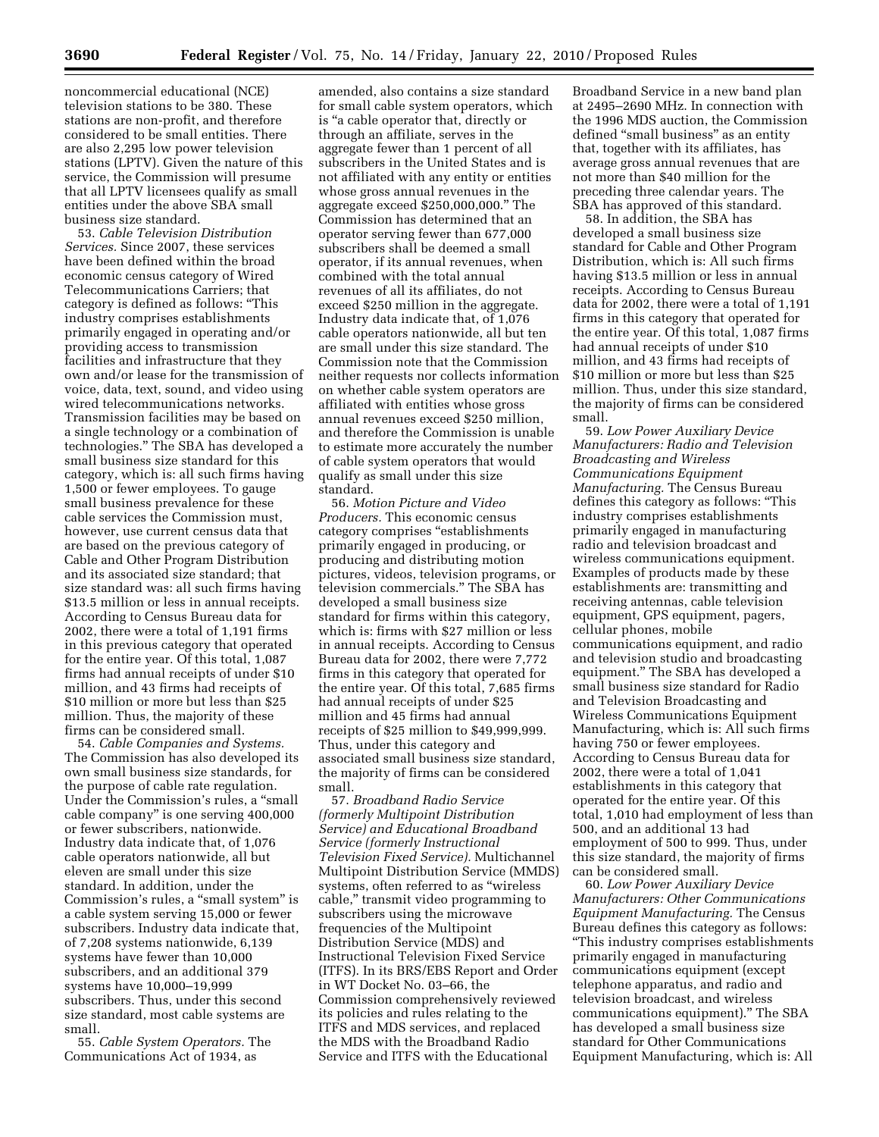noncommercial educational (NCE) television stations to be 380. These stations are non-profit, and therefore considered to be small entities. There are also 2,295 low power television stations (LPTV). Given the nature of this service, the Commission will presume that all LPTV licensees qualify as small entities under the above SBA small business size standard.

53. *Cable Television Distribution Services.* Since 2007, these services have been defined within the broad economic census category of Wired Telecommunications Carriers; that category is defined as follows: ''This industry comprises establishments primarily engaged in operating and/or providing access to transmission facilities and infrastructure that they own and/or lease for the transmission of voice, data, text, sound, and video using wired telecommunications networks. Transmission facilities may be based on a single technology or a combination of technologies.'' The SBA has developed a small business size standard for this category, which is: all such firms having 1,500 or fewer employees. To gauge small business prevalence for these cable services the Commission must, however, use current census data that are based on the previous category of Cable and Other Program Distribution and its associated size standard; that size standard was: all such firms having \$13.5 million or less in annual receipts. According to Census Bureau data for 2002, there were a total of 1,191 firms in this previous category that operated for the entire year. Of this total, 1,087 firms had annual receipts of under \$10 million, and 43 firms had receipts of \$10 million or more but less than \$25 million. Thus, the majority of these firms can be considered small.

54. *Cable Companies and Systems.*  The Commission has also developed its own small business size standards, for the purpose of cable rate regulation. Under the Commission's rules, a ''small cable company'' is one serving 400,000 or fewer subscribers, nationwide. Industry data indicate that, of 1,076 cable operators nationwide, all but eleven are small under this size standard. In addition, under the Commission's rules, a ''small system'' is a cable system serving 15,000 or fewer subscribers. Industry data indicate that, of 7,208 systems nationwide, 6,139 systems have fewer than 10,000 subscribers, and an additional 379 systems have 10,000–19,999 subscribers. Thus, under this second size standard, most cable systems are small.

55. *Cable System Operators.* The Communications Act of 1934, as

amended, also contains a size standard for small cable system operators, which is ''a cable operator that, directly or through an affiliate, serves in the aggregate fewer than 1 percent of all subscribers in the United States and is not affiliated with any entity or entities whose gross annual revenues in the aggregate exceed \$250,000,000.'' The Commission has determined that an operator serving fewer than 677,000 subscribers shall be deemed a small operator, if its annual revenues, when combined with the total annual revenues of all its affiliates, do not exceed \$250 million in the aggregate. Industry data indicate that, of 1,076 cable operators nationwide, all but ten are small under this size standard. The Commission note that the Commission neither requests nor collects information on whether cable system operators are affiliated with entities whose gross annual revenues exceed \$250 million, and therefore the Commission is unable to estimate more accurately the number of cable system operators that would qualify as small under this size standard.

56. *Motion Picture and Video Producers.* This economic census category comprises ''establishments primarily engaged in producing, or producing and distributing motion pictures, videos, television programs, or television commercials.'' The SBA has developed a small business size standard for firms within this category, which is: firms with \$27 million or less in annual receipts. According to Census Bureau data for 2002, there were 7,772 firms in this category that operated for the entire year. Of this total, 7,685 firms had annual receipts of under \$25 million and 45 firms had annual receipts of \$25 million to \$49,999,999. Thus, under this category and associated small business size standard, the majority of firms can be considered small.

57. *Broadband Radio Service (formerly Multipoint Distribution Service) and Educational Broadband Service (formerly Instructional Television Fixed Service).* Multichannel Multipoint Distribution Service (MMDS) systems, often referred to as ''wireless cable,'' transmit video programming to subscribers using the microwave frequencies of the Multipoint Distribution Service (MDS) and Instructional Television Fixed Service (ITFS). In its BRS/EBS Report and Order in WT Docket No. 03–66, the Commission comprehensively reviewed its policies and rules relating to the ITFS and MDS services, and replaced the MDS with the Broadband Radio Service and ITFS with the Educational

Broadband Service in a new band plan at 2495–2690 MHz. In connection with the 1996 MDS auction, the Commission defined ''small business'' as an entity that, together with its affiliates, has average gross annual revenues that are not more than \$40 million for the preceding three calendar years. The SBA has approved of this standard.

58. In addition, the SBA has developed a small business size standard for Cable and Other Program Distribution, which is: All such firms having \$13.5 million or less in annual receipts. According to Census Bureau data for 2002, there were a total of 1,191 firms in this category that operated for the entire year. Of this total, 1,087 firms had annual receipts of under \$10 million, and 43 firms had receipts of \$10 million or more but less than \$25 million. Thus, under this size standard, the majority of firms can be considered small.

59. *Low Power Auxiliary Device Manufacturers: Radio and Television Broadcasting and Wireless Communications Equipment Manufacturing.* The Census Bureau defines this category as follows: ''This industry comprises establishments primarily engaged in manufacturing radio and television broadcast and wireless communications equipment. Examples of products made by these establishments are: transmitting and receiving antennas, cable television equipment, GPS equipment, pagers, cellular phones, mobile communications equipment, and radio and television studio and broadcasting equipment.'' The SBA has developed a small business size standard for Radio and Television Broadcasting and Wireless Communications Equipment Manufacturing, which is: All such firms having 750 or fewer employees. According to Census Bureau data for 2002, there were a total of 1,041 establishments in this category that operated for the entire year. Of this total, 1,010 had employment of less than 500, and an additional 13 had employment of 500 to 999. Thus, under this size standard, the majority of firms can be considered small.

60. *Low Power Auxiliary Device Manufacturers: Other Communications Equipment Manufacturing.* The Census Bureau defines this category as follows: ''This industry comprises establishments primarily engaged in manufacturing communications equipment (except telephone apparatus, and radio and television broadcast, and wireless communications equipment).'' The SBA has developed a small business size standard for Other Communications Equipment Manufacturing, which is: All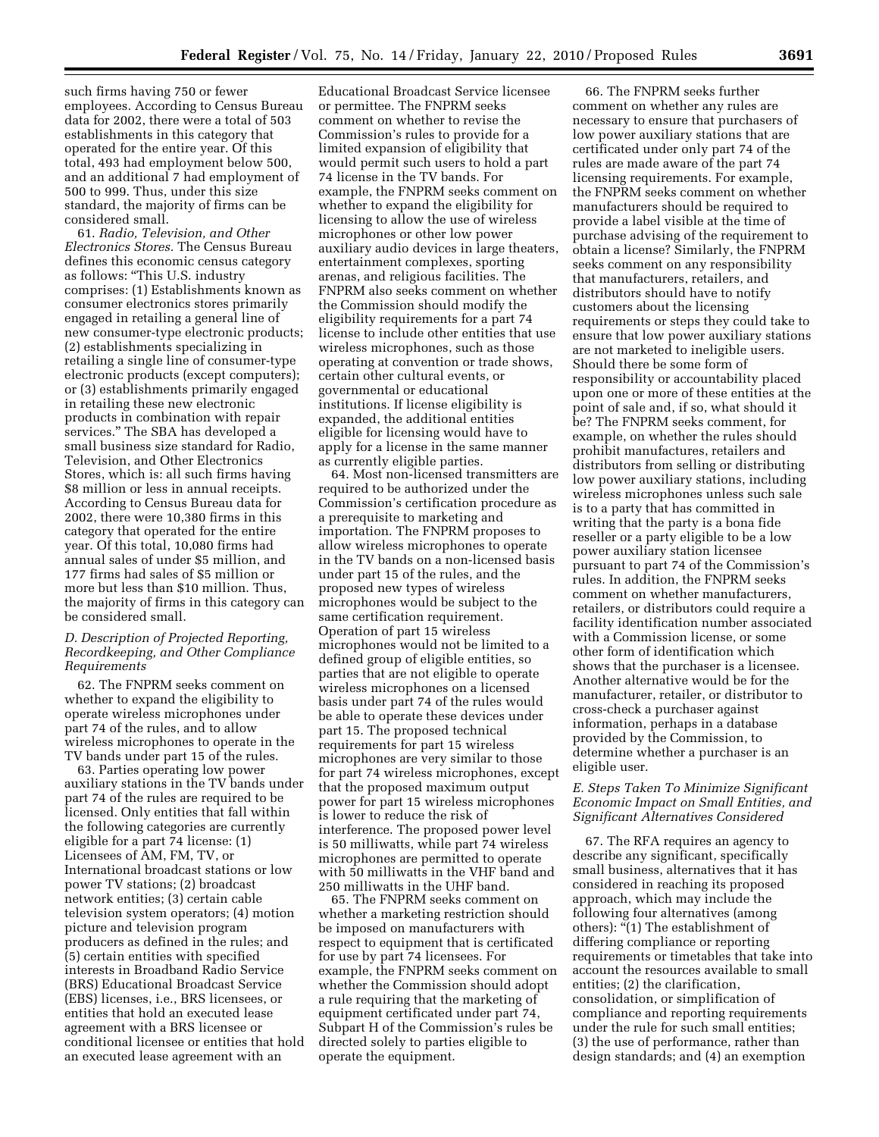such firms having 750 or fewer employees. According to Census Bureau data for 2002, there were a total of 503 establishments in this category that operated for the entire year. Of this total, 493 had employment below 500, and an additional 7 had employment of 500 to 999. Thus, under this size standard, the majority of firms can be considered small.

61. *Radio, Television, and Other Electronics Stores.* The Census Bureau defines this economic census category as follows: ''This U.S. industry comprises: (1) Establishments known as consumer electronics stores primarily engaged in retailing a general line of new consumer-type electronic products; (2) establishments specializing in retailing a single line of consumer-type electronic products (except computers); or (3) establishments primarily engaged in retailing these new electronic products in combination with repair services.'' The SBA has developed a small business size standard for Radio, Television, and Other Electronics Stores, which is: all such firms having \$8 million or less in annual receipts. According to Census Bureau data for 2002, there were 10,380 firms in this category that operated for the entire year. Of this total, 10,080 firms had annual sales of under \$5 million, and 177 firms had sales of \$5 million or more but less than \$10 million. Thus, the majority of firms in this category can be considered small.

# *D. Description of Projected Reporting, Recordkeeping, and Other Compliance Requirements*

62. The FNPRM seeks comment on whether to expand the eligibility to operate wireless microphones under part 74 of the rules, and to allow wireless microphones to operate in the TV bands under part 15 of the rules.

63. Parties operating low power auxiliary stations in the TV bands under part 74 of the rules are required to be licensed. Only entities that fall within the following categories are currently eligible for a part 74 license: (1) Licensees of AM, FM, TV, or International broadcast stations or low power TV stations; (2) broadcast network entities; (3) certain cable television system operators; (4) motion picture and television program producers as defined in the rules; and (5) certain entities with specified interests in Broadband Radio Service (BRS) Educational Broadcast Service (EBS) licenses, i.e., BRS licensees, or entities that hold an executed lease agreement with a BRS licensee or conditional licensee or entities that hold an executed lease agreement with an

Educational Broadcast Service licensee or permittee. The FNPRM seeks comment on whether to revise the Commission's rules to provide for a limited expansion of eligibility that would permit such users to hold a part 74 license in the TV bands. For example, the FNPRM seeks comment on whether to expand the eligibility for licensing to allow the use of wireless microphones or other low power auxiliary audio devices in large theaters, entertainment complexes, sporting arenas, and religious facilities. The FNPRM also seeks comment on whether the Commission should modify the eligibility requirements for a part 74 license to include other entities that use wireless microphones, such as those operating at convention or trade shows, certain other cultural events, or governmental or educational institutions. If license eligibility is expanded, the additional entities eligible for licensing would have to apply for a license in the same manner as currently eligible parties.

64. Most non-licensed transmitters are required to be authorized under the Commission's certification procedure as a prerequisite to marketing and importation. The FNPRM proposes to allow wireless microphones to operate in the TV bands on a non-licensed basis under part 15 of the rules, and the proposed new types of wireless microphones would be subject to the same certification requirement. Operation of part 15 wireless microphones would not be limited to a defined group of eligible entities, so parties that are not eligible to operate wireless microphones on a licensed basis under part 74 of the rules would be able to operate these devices under part 15. The proposed technical requirements for part 15 wireless microphones are very similar to those for part 74 wireless microphones, except that the proposed maximum output power for part 15 wireless microphones is lower to reduce the risk of interference. The proposed power level is 50 milliwatts, while part 74 wireless microphones are permitted to operate with 50 milliwatts in the VHF band and 250 milliwatts in the UHF band.

65. The FNPRM seeks comment on whether a marketing restriction should be imposed on manufacturers with respect to equipment that is certificated for use by part 74 licensees. For example, the FNPRM seeks comment on whether the Commission should adopt a rule requiring that the marketing of equipment certificated under part 74, Subpart H of the Commission's rules be directed solely to parties eligible to operate the equipment.

66. The FNPRM seeks further comment on whether any rules are necessary to ensure that purchasers of low power auxiliary stations that are certificated under only part 74 of the rules are made aware of the part 74 licensing requirements. For example, the FNPRM seeks comment on whether manufacturers should be required to provide a label visible at the time of purchase advising of the requirement to obtain a license? Similarly, the FNPRM seeks comment on any responsibility that manufacturers, retailers, and distributors should have to notify customers about the licensing requirements or steps they could take to ensure that low power auxiliary stations are not marketed to ineligible users. Should there be some form of responsibility or accountability placed upon one or more of these entities at the point of sale and, if so, what should it be? The FNPRM seeks comment, for example, on whether the rules should prohibit manufactures, retailers and distributors from selling or distributing low power auxiliary stations, including wireless microphones unless such sale is to a party that has committed in writing that the party is a bona fide reseller or a party eligible to be a low power auxiliary station licensee pursuant to part 74 of the Commission's rules. In addition, the FNPRM seeks comment on whether manufacturers, retailers, or distributors could require a facility identification number associated with a Commission license, or some other form of identification which shows that the purchaser is a licensee. Another alternative would be for the manufacturer, retailer, or distributor to cross-check a purchaser against information, perhaps in a database provided by the Commission, to determine whether a purchaser is an eligible user.

# *E. Steps Taken To Minimize Significant Economic Impact on Small Entities, and Significant Alternatives Considered*

67. The RFA requires an agency to describe any significant, specifically small business, alternatives that it has considered in reaching its proposed approach, which may include the following four alternatives (among others): "(1) The establishment of differing compliance or reporting requirements or timetables that take into account the resources available to small entities; (2) the clarification, consolidation, or simplification of compliance and reporting requirements under the rule for such small entities; (3) the use of performance, rather than design standards; and (4) an exemption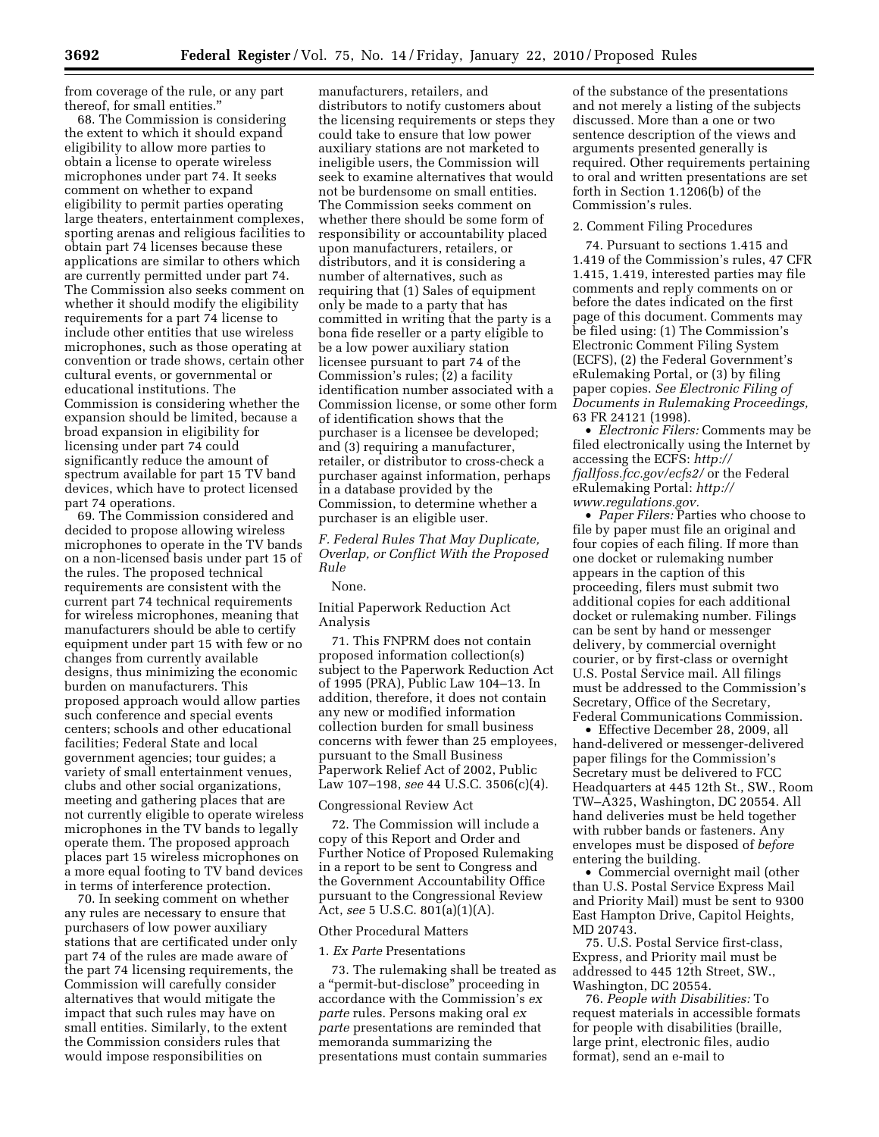from coverage of the rule, or any part thereof, for small entities.''

68. The Commission is considering the extent to which it should expand eligibility to allow more parties to obtain a license to operate wireless microphones under part 74. It seeks comment on whether to expand eligibility to permit parties operating large theaters, entertainment complexes, sporting arenas and religious facilities to obtain part 74 licenses because these applications are similar to others which are currently permitted under part 74. The Commission also seeks comment on whether it should modify the eligibility requirements for a part 74 license to include other entities that use wireless microphones, such as those operating at convention or trade shows, certain other cultural events, or governmental or educational institutions. The Commission is considering whether the expansion should be limited, because a broad expansion in eligibility for licensing under part 74 could significantly reduce the amount of spectrum available for part 15 TV band devices, which have to protect licensed part 74 operations.

69. The Commission considered and decided to propose allowing wireless microphones to operate in the TV bands on a non-licensed basis under part 15 of the rules. The proposed technical requirements are consistent with the current part 74 technical requirements for wireless microphones, meaning that manufacturers should be able to certify equipment under part 15 with few or no changes from currently available designs, thus minimizing the economic burden on manufacturers. This proposed approach would allow parties such conference and special events centers; schools and other educational facilities; Federal State and local government agencies; tour guides; a variety of small entertainment venues, clubs and other social organizations, meeting and gathering places that are not currently eligible to operate wireless microphones in the TV bands to legally operate them. The proposed approach places part 15 wireless microphones on a more equal footing to TV band devices in terms of interference protection.

70. In seeking comment on whether any rules are necessary to ensure that purchasers of low power auxiliary stations that are certificated under only part 74 of the rules are made aware of the part 74 licensing requirements, the Commission will carefully consider alternatives that would mitigate the impact that such rules may have on small entities. Similarly, to the extent the Commission considers rules that would impose responsibilities on

manufacturers, retailers, and distributors to notify customers about the licensing requirements or steps they could take to ensure that low power auxiliary stations are not marketed to ineligible users, the Commission will seek to examine alternatives that would not be burdensome on small entities. The Commission seeks comment on whether there should be some form of responsibility or accountability placed upon manufacturers, retailers, or distributors, and it is considering a number of alternatives, such as requiring that (1) Sales of equipment only be made to a party that has committed in writing that the party is a bona fide reseller or a party eligible to be a low power auxiliary station licensee pursuant to part 74 of the Commission's rules; (2) a facility identification number associated with a Commission license, or some other form of identification shows that the purchaser is a licensee be developed; and (3) requiring a manufacturer, retailer, or distributor to cross-check a purchaser against information, perhaps in a database provided by the Commission, to determine whether a purchaser is an eligible user.

*F. Federal Rules That May Duplicate, Overlap, or Conflict With the Proposed Rule* 

#### None.

Initial Paperwork Reduction Act Analysis

71. This FNPRM does not contain proposed information collection(s) subject to the Paperwork Reduction Act of 1995 (PRA), Public Law 104–13. In addition, therefore, it does not contain any new or modified information collection burden for small business concerns with fewer than 25 employees, pursuant to the Small Business Paperwork Relief Act of 2002, Public Law 107–198, *see* 44 U.S.C. 3506(c)(4).

### Congressional Review Act

72. The Commission will include a copy of this Report and Order and Further Notice of Proposed Rulemaking in a report to be sent to Congress and the Government Accountability Office pursuant to the Congressional Review Act, *see* 5 U.S.C. 801(a)(1)(A).

### Other Procedural Matters

## 1. *Ex Parte* Presentations

73. The rulemaking shall be treated as a ''permit-but-disclose'' proceeding in accordance with the Commission's *ex parte* rules. Persons making oral *ex parte* presentations are reminded that memoranda summarizing the presentations must contain summaries

of the substance of the presentations and not merely a listing of the subjects discussed. More than a one or two sentence description of the views and arguments presented generally is required. Other requirements pertaining to oral and written presentations are set forth in Section 1.1206(b) of the Commission's rules.

# 2. Comment Filing Procedures

74. Pursuant to sections 1.415 and 1.419 of the Commission's rules, 47 CFR 1.415, 1.419, interested parties may file comments and reply comments on or before the dates indicated on the first page of this document. Comments may be filed using: (1) The Commission's Electronic Comment Filing System (ECFS), (2) the Federal Government's eRulemaking Portal, or (3) by filing paper copies. *See Electronic Filing of Documents in Rulemaking Proceedings,*  63 FR 24121 (1998).

• *Electronic Filers:* Comments may be filed electronically using the Internet by accessing the ECFS: *http:// fjallfoss.fcc.gov/ecfs2/* or the Federal eRulemaking Portal: *http:// www.regulations.gov.* 

• *Paper Filers:* Parties who choose to file by paper must file an original and four copies of each filing. If more than one docket or rulemaking number appears in the caption of this proceeding, filers must submit two additional copies for each additional docket or rulemaking number. Filings can be sent by hand or messenger delivery, by commercial overnight courier, or by first-class or overnight U.S. Postal Service mail. All filings must be addressed to the Commission's Secretary, Office of the Secretary, Federal Communications Commission.

• Effective December 28, 2009, all hand-delivered or messenger-delivered paper filings for the Commission's Secretary must be delivered to FCC Headquarters at 445 12th St., SW., Room TW–A325, Washington, DC 20554. All hand deliveries must be held together with rubber bands or fasteners. Any envelopes must be disposed of *before*  entering the building.

• Commercial overnight mail (other than U.S. Postal Service Express Mail and Priority Mail) must be sent to 9300 East Hampton Drive, Capitol Heights, MD 20743.

75. U.S. Postal Service first-class, Express, and Priority mail must be addressed to 445 12th Street, SW., Washington, DC 20554.

76. *People with Disabilities:* To request materials in accessible formats for people with disabilities (braille, large print, electronic files, audio format), send an e-mail to